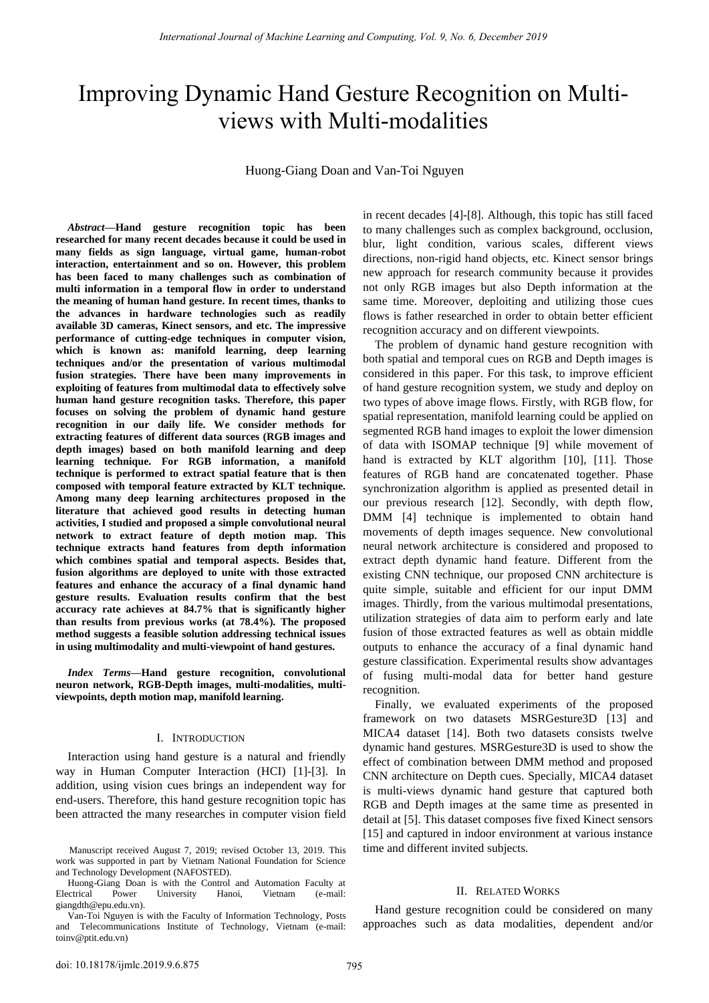# Improving Dynamic Hand Gesture Recognition on Multiviews with Multi-modalities

Huong-Giang Doan and Van-Toi Nguyen

*Abstract***—Hand gesture recognition topic has been researched for many recent decades because it could be used in many fields as sign language, virtual game, human-robot interaction, entertainment and so on. However, this problem has been faced to many challenges such as combination of multi information in a temporal flow in order to understand the meaning of human hand gesture. In recent times, thanks to the advances in hardware technologies such as readily available 3D cameras, Kinect sensors, and etc. The impressive performance of cutting-edge techniques in computer vision,**  which is known as: manifold learning, deep learning **techniques and/or the presentation of various multimodal fusion strategies. There have been many improvements in exploiting of features from multimodal data to effectively solve human hand gesture recognition tasks. Therefore, this paper focuses on solving the problem of dynamic hand gesture recognition in our daily life. We consider methods for extracting features of different data sources (RGB images and depth images) based on both manifold learning and deep learning technique. For RGB information, a manifold technique is performed to extract spatial feature that is then composed with temporal feature extracted by KLT technique. Among many deep learning architectures proposed in the literature that achieved good results in detecting human activities, I studied and proposed a simple convolutional neural network to extract feature of depth motion map. This technique extracts hand features from depth information which combines spatial and temporal aspects. Besides that, fusion algorithms are deployed to unite with those extracted features and enhance the accuracy of a final dynamic hand gesture results. Evaluation results confirm that the best accuracy rate achieves at 84.7% that is significantly higher than results from previous works (at 78.4%). The proposed method suggests a feasible solution addressing technical issues in using multimodality and multi-viewpoint of hand gestures.** 

*Index Terms***—Hand gesture recognition, convolutional neuron network, RGB-Depth images, multi-modalities, multiviewpoints, depth motion map, manifold learning.** 

### I. INTRODUCTION

Interaction using hand gesture is a natural and friendly way in Human Computer Interaction (HCI) [1]-[3]. In addition, using vision cues brings an independent way for end-users. Therefore, this hand gesture recognition topic has been attracted the many researches in computer vision field in recent decades [4]-[8]. Although, this topic has still faced to many challenges such as complex background, occlusion, blur, light condition, various scales, different views directions, non-rigid hand objects, etc. Kinect sensor brings new approach for research community because it provides not only RGB images but also Depth information at the same time. Moreover, deploiting and utilizing those cues flows is father researched in order to obtain better efficient recognition accuracy and on different viewpoints.

The problem of dynamic hand gesture recognition with both spatial and temporal cues on RGB and Depth images is considered in this paper. For this task, to improve efficient of hand gesture recognition system, we study and deploy on two types of above image flows. Firstly, with RGB flow, for spatial representation, manifold learning could be applied on segmented RGB hand images to exploit the lower dimension of data with ISOMAP technique [9] while movement of hand is extracted by KLT algorithm [10], [11]. Those features of RGB hand are concatenated together. Phase synchronization algorithm is applied as presented detail in our previous research [12]. Secondly, with depth flow, DMM [4] technique is implemented to obtain hand movements of depth images sequence. New convolutional neural network architecture is considered and proposed to extract depth dynamic hand feature. Different from the existing CNN technique, our proposed CNN architecture is quite simple, suitable and efficient for our input DMM images. Thirdly, from the various multimodal presentations, utilization strategies of data aim to perform early and late fusion of those extracted features as well as obtain middle outputs to enhance the accuracy of a final dynamic hand gesture classification. Experimental results show advantages of fusing multi-modal data for better hand gesture recognition.

Finally, we evaluated experiments of the proposed framework on two datasets MSRGesture3D [13] and MICA4 dataset [14]. Both two datasets consists twelve dynamic hand gestures. MSRGesture3D is used to show the effect of combination between DMM method and proposed CNN architecture on Depth cues. Specially, MICA4 dataset is multi-views dynamic hand gesture that captured both RGB and Depth images at the same time as presented in detail at [5]. This dataset composes five fixed Kinect sensors [15] and captured in indoor environment at various instance time and different invited subjects.

### II. RELATED WORKS

Hand gesture recognition could be considered on many approaches such as data modalities, dependent and/or

Manuscript received August 7, 2019; revised October 13, 2019. This work was supported in part by Vietnam National Foundation for Science and Technology Development (NAFOSTED).

Huong-Giang Doan is with the Control and Automation Faculty at Electrical Power University Hanoi, Vietnam (e-mail: [giangdth@epu.edu.vn\)](mailto:giangdth@epu.edu.vn).

Van-Toi Nguyen is with the Faculty of Information Technology, Posts and Telecommunications Institute of Technology, Vietnam (e-mail: toinv@ptit.edu.vn)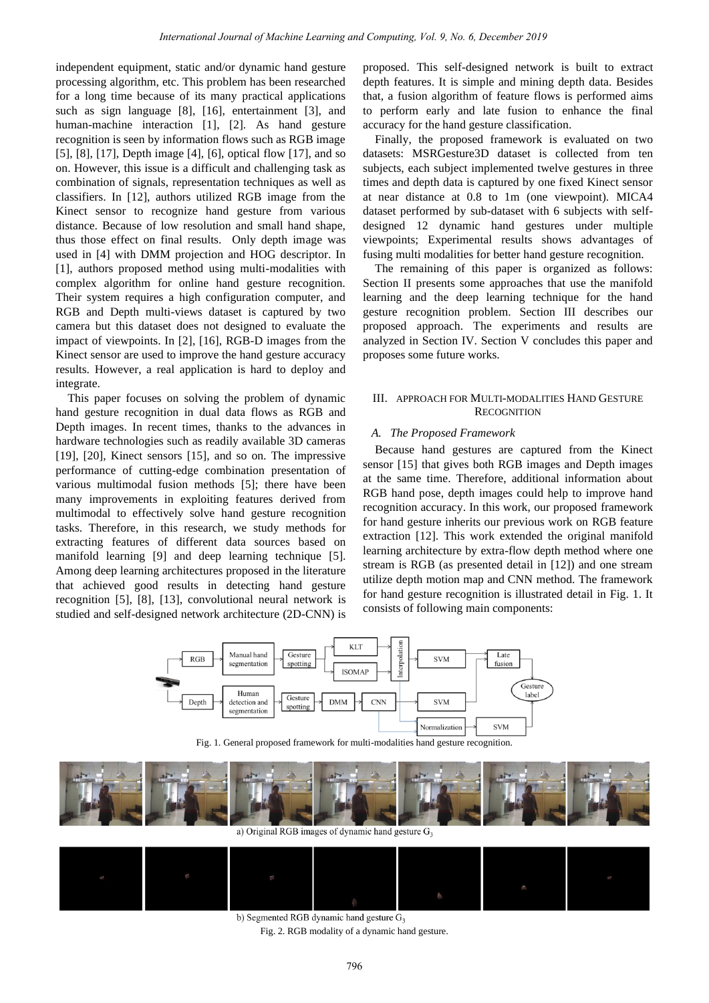independent equipment, static and/or dynamic hand gesture processing algorithm, etc. This problem has been researched for a long time because of its many practical applications such as sign language [8], [16], entertainment [3], and human-machine interaction [1], [2]. As hand gesture recognition is seen by information flows such as RGB image [5], [8], [17], Depth image [4], [6], optical flow [17], and so on. However, this issue is a difficult and challenging task as combination of signals, representation techniques as well as classifiers. In [12], authors utilized RGB image from the Kinect sensor to recognize hand gesture from various distance. Because of low resolution and small hand shape, thus those effect on final results. Only depth image was used in [4] with DMM projection and HOG descriptor. In [1], authors proposed method using multi-modalities with complex algorithm for online hand gesture recognition. Their system requires a high configuration computer, and RGB and Depth multi-views dataset is captured by two camera but this dataset does not designed to evaluate the impact of viewpoints. In [2], [16], RGB-D images from the Kinect sensor are used to improve the hand gesture accuracy results. However, a real application is hard to deploy and integrate.

This paper focuses on solving the problem of dynamic hand gesture recognition in dual data flows as RGB and Depth images. In recent times, thanks to the advances in hardware technologies such as readily available 3D cameras [19], [20], Kinect sensors [15], and so on. The impressive performance of cutting-edge combination presentation of various multimodal fusion methods [5]; there have been many improvements in exploiting features derived from multimodal to effectively solve hand gesture recognition tasks. Therefore, in this research, we study methods for extracting features of different data sources based on manifold learning [9] and deep learning technique [5]. Among deep learning architectures proposed in the literature that achieved good results in detecting hand gesture recognition [5], [8], [13], convolutional neural network is studied and self-designed network architecture (2D-CNN) is proposed. This self-designed network is built to extract depth features. It is simple and mining depth data. Besides that, a fusion algorithm of feature flows is performed aims to perform early and late fusion to enhance the final accuracy for the hand gesture classification.

Finally, the proposed framework is evaluated on two datasets: MSRGesture3D dataset is collected from ten subjects, each subject implemented twelve gestures in three times and depth data is captured by one fixed Kinect sensor at near distance at 0.8 to 1m (one viewpoint). MICA4 dataset performed by sub-dataset with 6 subjects with selfdesigned 12 dynamic hand gestures under multiple viewpoints; Experimental results shows advantages of fusing multi modalities for better hand gesture recognition.

The remaining of this paper is organized as follows: Section II presents some approaches that use the manifold learning and the deep learning technique for the hand gesture recognition problem. Section III describes our proposed approach. The experiments and results are analyzed in Section IV. Section V concludes this paper and proposes some future works.

## III. APPROACH FOR MULTI-MODALITIES HAND GESTURE **RECOGNITION**

## *A. The Proposed Framework*

Because hand gestures are captured from the Kinect sensor [15] that gives both RGB images and Depth images at the same time. Therefore, additional information about RGB hand pose, depth images could help to improve hand recognition accuracy. In this work, our proposed framework for hand gesture inherits our previous work on RGB feature extraction [12]. This work extended the original manifold learning architecture by extra-flow depth method where one stream is RGB (as presented detail in [12]) and one stream utilize depth motion map and CNN method. The framework for hand gesture recognition is illustrated detail in Fig. 1. It consists of following main components:



Fig. 1. General proposed framework for multi-modalities hand gesture recognition.





b) Segmented RGB dynamic hand gesture G<sub>3</sub> Fig. 2. RGB modality of a dynamic hand gesture.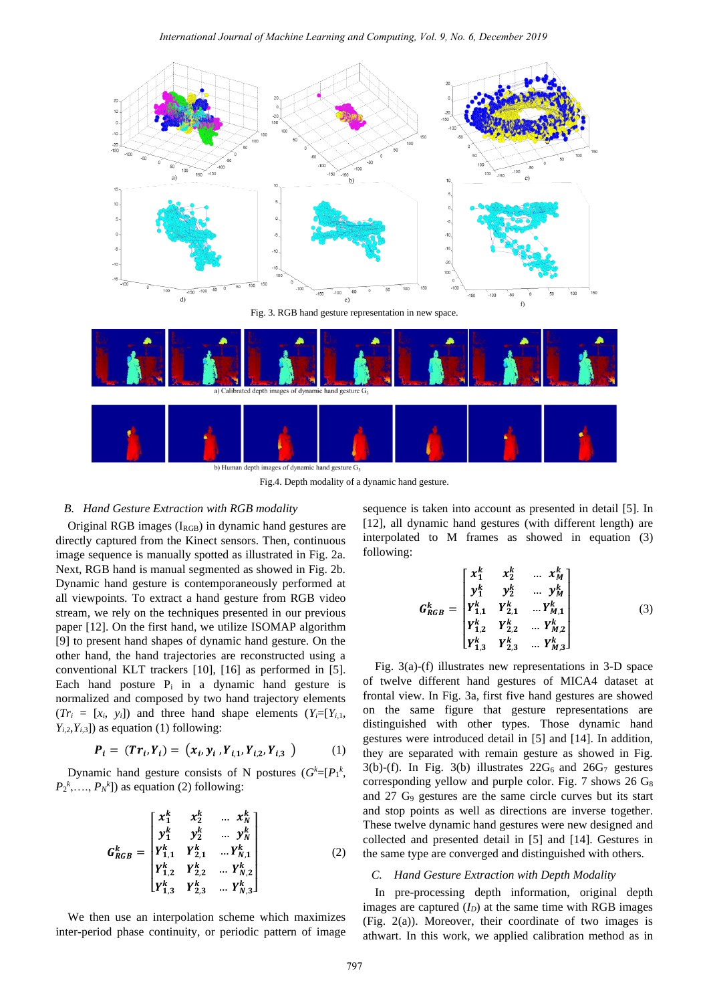

Fig.4. Depth modality of a dynamic hand gesture.

## *B. Hand Gesture Extraction with RGB modality*

Original RGB images  $(I_{RGB})$  in dynamic hand gestures are directly captured from the Kinect sensors. Then, continuous image sequence is manually spotted as illustrated in Fig. 2a. Next, RGB hand is manual segmented as showed in Fig. 2b. Dynamic hand gesture is contemporaneously performed at all viewpoints. To extract a hand gesture from RGB video stream, we rely on the techniques presented in our previous paper [12]. On the first hand, we utilize ISOMAP algorithm [9] to present hand shapes of dynamic hand gesture. On the other hand, the hand trajectories are reconstructed using a conventional KLT trackers [10], [16] as performed in [5]. Each hand posture  $P_i$  in a dynamic hand gesture is normalized and composed by two hand trajectory elements  $(Tr_i = [x_i, y_i])$  and three hand shape elements  $(Y_i = [Y_{i,1}, Y_i])$  $Y_{i,2}, Y_{i,3}$ ) as equation (1) following:

$$
P_i = (Tr_i, Y_i) = (x_i, y_i, Y_{i,1}, Y_{i,2}, Y_{i,3})
$$
 (1)

Dynamic hand gesture consists of N postures  $(G<sup>k</sup>=[P<sub>1</sub><sup>k</sup>,$  $P_2^k$ ,...,  $P_N^k$ ]) as equation (2) following:

$$
G_{RGB}^{k} = \begin{bmatrix} x_1^k & x_2^k & \dots & x_N^k \\ y_1^k & y_2^k & \dots & y_N^k \\ Y_{1,1}^k & Y_{2,1}^k & \dots & Y_{N,1}^k \\ Y_{1,2}^k & Y_{2,2}^k & \dots & Y_{N,2}^k \\ Y_{1,3}^k & Y_{2,3}^k & \dots & Y_{N,3}^k \end{bmatrix}
$$
 (2)

We then use an interpolation scheme which maximizes inter-period phase continuity, or periodic pattern of image

sequence is taken into account as presented in detail [5]. In [12], all dynamic hand gestures (with different length) are interpolated to M frames as showed in equation (3) following:

$$
G_{RGB}^{k} = \begin{bmatrix} x_1^k & x_2^k & \dots & x_M^k \\ y_1^k & y_2^k & \dots & y_M^k \\ Y_{1,1}^k & Y_{2,1}^k & \dots & Y_{M,1}^k \\ Y_{1,2}^k & Y_{2,2}^k & \dots & Y_{M,2}^k \\ Y_{1,3}^k & Y_{2,3}^k & \dots & Y_{M,3}^k \end{bmatrix}
$$
 (3)

Fig. 3(a)-(f) illustrates new representations in 3-D space of twelve different hand gestures of MICA4 dataset at frontal view. In Fig. 3a, first five hand gestures are showed on the same figure that gesture representations are distinguished with other types. Those dynamic hand gestures were introduced detail in [5] and [14]. In addition, they are separated with remain gesture as showed in Fig. 3(b)-(f). In Fig. 3(b) illustrates  $22G_6$  and  $26G_7$  gestures corresponding yellow and purple color. Fig. 7 shows  $26\,\text{G}_8$ and 27 G<sup>9</sup> gestures are the same circle curves but its start and stop points as well as directions are inverse together. These twelve dynamic hand gestures were new designed and collected and presented detail in [5] and [14]. Gestures in the same type are converged and distinguished with others.

### *C. Hand Gesture Extraction with Depth Modality*

In pre-processing depth information, original depth images are captured  $(I_D)$  at the same time with RGB images (Fig. 2(a)). Moreover, their coordinate of two images is athwart. In this work, we applied calibration method as in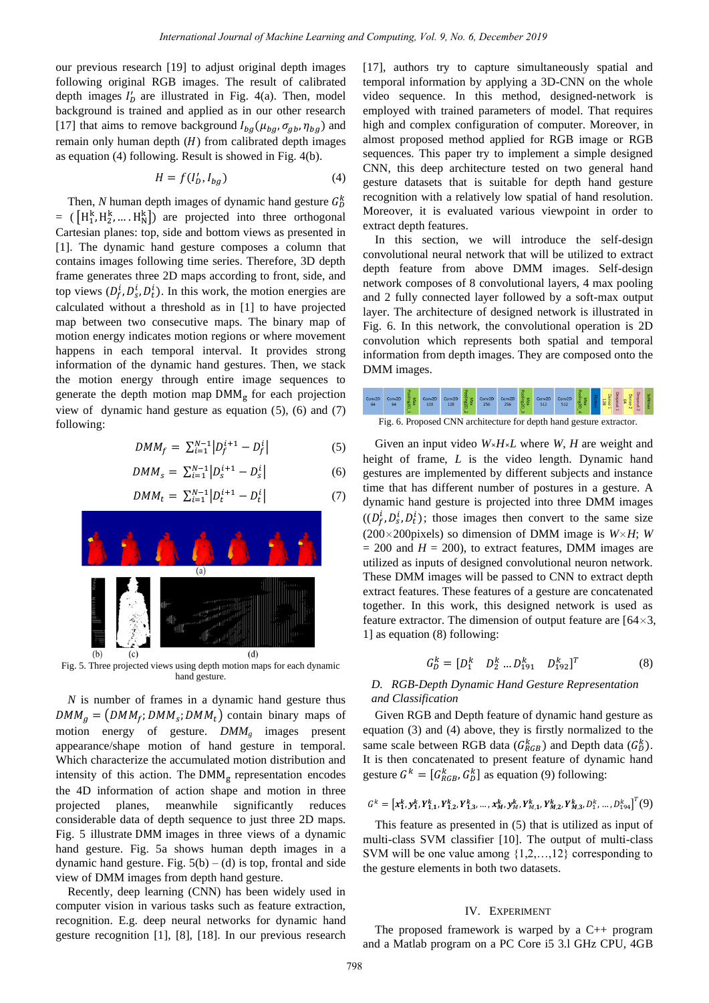our previous research [19] to adjust original depth images following original RGB images. The result of calibrated depth images  $I'_D$  are illustrated in Fig. 4(a). Then, model background is trained and applied as in our other research [17] that aims to remove background  $I_{bg}(\mu_{bg}, \sigma_{gb}, \eta_{bg})$  and remain only human depth  $(H)$  from calibrated depth images as equation (4) following. Result is showed in Fig. 4(b).

$$
H = f(I'_D, I_{bg})\tag{4}
$$

Then, *N* human depth images of dynamic hand gesture  $G_D^k$  $= ([H_1^k, H_2^k, ..., H_N^k])$  are projected into three orthogonal Cartesian planes: top, side and bottom views as presented in [1]. The dynamic hand gesture composes a column that contains images following time series. Therefore, 3D depth frame generates three 2D maps according to front, side, and top views  $(D_f^i, D_s^i, D_t^i)$ . In this work, the motion energies are calculated without a threshold as in [1] to have projected map between two consecutive maps. The binary map of motion energy indicates motion regions or where movement happens in each temporal interval. It provides strong information of the dynamic hand gestures. Then, we stack the motion energy through entire image sequences to generate the depth motion map DMM<sup>g</sup> for each projection view of dynamic hand gesture as equation (5), (6) and (7) following:

$$
DMM_f = \sum_{i=1}^{N-1} |D_f^{i+1} - D_f^i|
$$
 (5)

$$
DMM_s = \sum_{i=1}^{N-1} |D_s^{i+1} - D_s^i|
$$
 (6)

$$
DMM_t = \sum_{i=1}^{N-1} |D_t^{i+1} - D_t^i|
$$
 (7)



Fig. 5. Three projected views using depth motion maps for each dynamic hand gesture.

*N* is number of frames in a dynamic hand gesture thus  $DMM_g = (DMM_f; DMM_s; DMM_t)$  contain binary maps of motion energy of gesture. *DMM<sup>g</sup>* images present appearance/shape motion of hand gesture in temporal. Which characterize the accumulated motion distribution and intensity of this action. The DMM<sub>g</sub> representation encodes the 4D information of action shape and motion in three projected planes, meanwhile significantly reduces considerable data of depth sequence to just three 2D maps. Fig. 5 illustrate DMM images in three views of a dynamic hand gesture. Fig. 5a shows human depth images in a dynamic hand gesture. Fig.  $5(b) - (d)$  is top, frontal and side view of DMM images from depth hand gesture.

Recently, deep learning (CNN) has been widely used in computer vision in various tasks such as feature extraction, recognition. E.g. deep neural networks for dynamic hand gesture recognition [1], [8], [18]. In our previous research [17], authors try to capture simultaneously spatial and temporal information by applying a 3D-CNN on the whole video sequence. In this method, designed-network is employed with trained parameters of model. That requires high and complex configuration of computer. Moreover, in almost proposed method applied for RGB image or RGB sequences. This paper try to implement a simple designed CNN, this deep architecture tested on two general hand gesture datasets that is suitable for depth hand gesture recognition with a relatively low spatial of hand resolution. Moreover, it is evaluated various viewpoint in order to extract depth features.

In this section, we will introduce the self-design convolutional neural network that will be utilized to extract depth feature from above DMM images. Self-design network composes of 8 convolutional layers, 4 max pooling and 2 fully connected layer followed by a soft-max output layer. The architecture of designed network is illustrated in Fig. 6. In this network, the convolutional operation is 2D convolution which represents both spatial and temporal information from depth images. They are composed onto the DMM images.



Fig. 6. Proposed CNN architecture for depth hand gesture extractor.

Given an input video *W*×*H*×*L* where *W*, *H* are weight and height of frame, *L* is the video length. Dynamic hand gestures are implemented by different subjects and instance time that has different number of postures in a gesture. A dynamic hand gesture is projected into three DMM images  $((D_f^i, D_s^i, D_t^i))$ ; those images then convert to the same size (200 $\times$ 200 $\pi$ ixels) so dimension of DMM image is *W* $\times$ *H*; *W*  $= 200$  and  $H = 200$ ), to extract features, DMM images are utilized as inputs of designed convolutional neuron network. These DMM images will be passed to CNN to extract depth extract features. These features of a gesture are concatenated together. In this work, this designed network is used as feature extractor. The dimension of output feature are  $[64 \times 3, 64]$ 1] as equation (8) following:

$$
G_D^k = [D_1^k \quad D_2^k \dots D_{191}^k \quad D_{192}^k]^T
$$
 (8)

## *D. RGB-Depth Dynamic Hand Gesture Representation and Classification*

Given RGB and Depth feature of dynamic hand gesture as equation (3) and (4) above, they is firstly normalized to the same scale between RGB data ( $G_{RGB}^{k}$ ) and Depth data ( $G_{D}^{k}$ ). It is then concatenated to present feature of dynamic hand gesture  $G^k = [G_{RGB}^k, G_D^k]$  as equation (9) following:

$$
G^{k} = \left[ x_{1}^{k}, y_{1}^{k}, Y_{1,1}^{k}, Y_{1,2}^{k}, Y_{1,3}^{k}, \ldots, x_{M}^{k}, y_{M}^{k}, Y_{M,1}^{k}, Y_{M,2}^{k}, Y_{M,3}^{k}, D_{1}^{k}, \ldots, D_{194}^{k} \right]^{T} (9)
$$

This feature as presented in (5) that is utilized as input of multi-class SVM classifier [10]. The output of multi-class SVM will be one value among {1,2,…,12} corresponding to the gesture elements in both two datasets.

#### IV. EXPERIMENT

The proposed framework is warped by a C++ program and a Matlab program on a PC Core i5 3.l GHz CPU, 4GB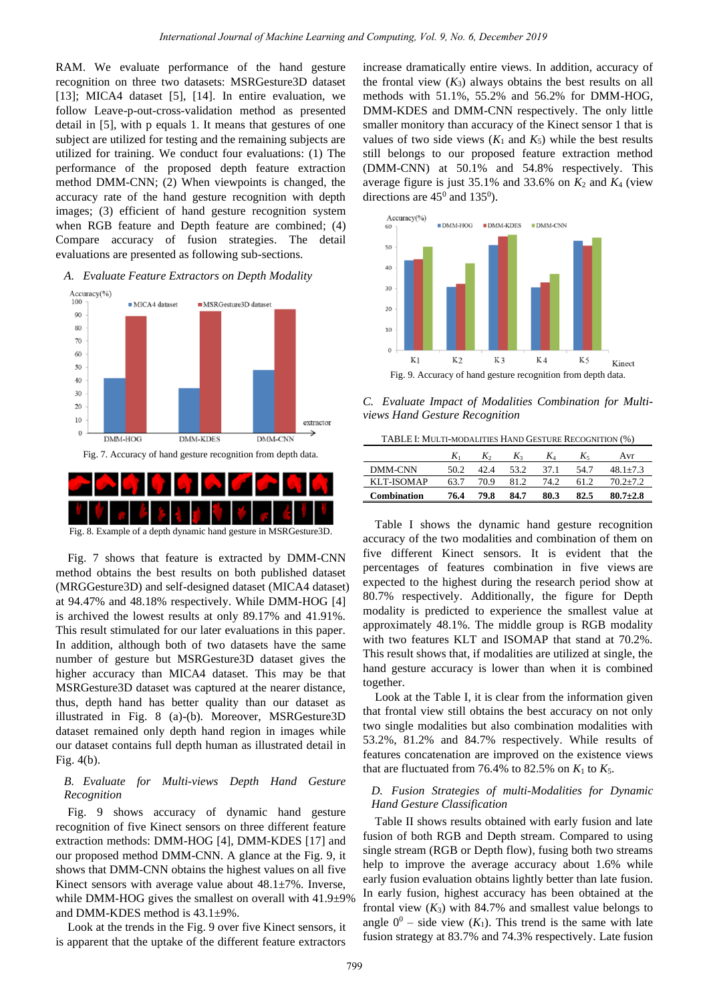RAM. We evaluate performance of the hand gesture recognition on three two datasets: MSRGesture3D dataset [13]; MICA4 dataset [5], [14]. In entire evaluation, we follow Leave-p-out-cross-validation method as presented detail in [5], with p equals 1. It means that gestures of one subject are utilized for testing and the remaining subjects are utilized for training. We conduct four evaluations: (1) The performance of the proposed depth feature extraction method DMM-CNN; (2) When viewpoints is changed, the accuracy rate of the hand gesture recognition with depth images; (3) efficient of hand gesture recognition system when RGB feature and Depth feature are combined; (4) Compare accuracy of fusion strategies. The detail evaluations are presented as following sub-sections.

## *A. Evaluate Feature Extractors on Depth Modality*



Fig. 8. Example of a depth dynamic hand gesture in MSRGesture3D.

Fig. 7 shows that feature is extracted by DMM-CNN method obtains the best results on both published dataset (MRGGesture3D) and self-designed dataset (MICA4 dataset) at 94.47% and 48.18% respectively. While DMM-HOG [4] is archived the lowest results at only 89.17% and 41.91%. This result stimulated for our later evaluations in this paper. In addition, although both of two datasets have the same number of gesture but MSRGesture3D dataset gives the higher accuracy than MICA4 dataset. This may be that MSRGesture3D dataset was captured at the nearer distance, thus, depth hand has better quality than our dataset as illustrated in Fig. 8 (a)-(b). Moreover, MSRGesture3D dataset remained only depth hand region in images while our dataset contains full depth human as illustrated detail in Fig. 4(b).

## *B. Evaluate for Multi-views Depth Hand Gesture Recognition*

Fig. 9 shows accuracy of dynamic hand gesture recognition of five Kinect sensors on three different feature extraction methods: DMM-HOG [4], DMM-KDES [17] and our proposed method DMM-CNN. A glance at the Fig. 9, it shows that DMM-CNN obtains the highest values on all five Kinect sensors with average value about  $48.1\pm7\%$ . Inverse, while DMM-HOG gives the smallest on overall with 41.9±9% and DMM-KDES method is 43.1±9%.

Look at the trends in the Fig. 9 over five Kinect sensors, it is apparent that the uptake of the different feature extractors increase dramatically entire views. In addition, accuracy of the frontal view  $(K_3)$  always obtains the best results on all methods with 51.1%, 55.2% and 56.2% for DMM-HOG, DMM-KDES and DMM-CNN respectively. The only little smaller monitory than accuracy of the Kinect sensor 1 that is values of two side views  $(K_1 \text{ and } K_5)$  while the best results still belongs to our proposed feature extraction method (DMM-CNN) at 50.1% and 54.8% respectively. This average figure is just  $35.1\%$  and  $33.6\%$  on  $K_2$  and  $K_4$  (view directions are  $45^{\circ}$  and  $135^{\circ}$ ).



*C. Evaluate Impact of Modalities Combination for Multiviews Hand Gesture Recognition*

| TABLE I: MULTI-MODALITIES HAND GESTURE RECOGNITION (%) |      |         |         |      |      |              |  |  |  |
|--------------------------------------------------------|------|---------|---------|------|------|--------------|--|--|--|
|                                                        |      | $K_{2}$ | $K_{3}$ | K.   | K5   | Avr          |  |  |  |
| DMM-CNN                                                | 50.2 | 42 A    | 53.2    | 37.1 | 54.7 | $48.1 + 7.3$ |  |  |  |
| KLT-ISOMAP                                             | 63.7 | 70.9    | 81.2    | 74.2 | 612  | $702+72$     |  |  |  |
| <b>Combination</b>                                     | 76.4 | 79.8    | 84.7    | 80.3 | 82.5 | $80.7 + 2.8$ |  |  |  |

Table I shows the dynamic hand gesture recognition accuracy of the two modalities and combination of them on five different Kinect sensors. It is evident that the percentages of features combination in five views are expected to the highest during the research period show at 80.7% respectively. Additionally, the figure for Depth modality is predicted to experience the smallest value at approximately 48.1%. The middle group is RGB modality with two features KLT and ISOMAP that stand at 70.2%. This result shows that, if modalities are utilized at single, the hand gesture accuracy is lower than when it is combined together.

Look at the Table I, it is clear from the information given that frontal view still obtains the best accuracy on not only two single modalities but also combination modalities with 53.2%, 81.2% and 84.7% respectively. While results of features concatenation are improved on the existence views that are fluctuated from 76.4% to 82.5% on  $K_1$  to  $K_5$ .

## *D. Fusion Strategies of multi-Modalities for Dynamic Hand Gesture Classification*

Table II shows results obtained with early fusion and late fusion of both RGB and Depth stream. Compared to using single stream (RGB or Depth flow), fusing both two streams help to improve the average accuracy about 1.6% while early fusion evaluation obtains lightly better than late fusion. In early fusion, highest accuracy has been obtained at the frontal view  $(K_3)$  with 84.7% and smallest value belongs to angle  $0^0$  – side view  $(K_1)$ . This trend is the same with late fusion strategy at 83.7% and 74.3% respectively. Late fusion